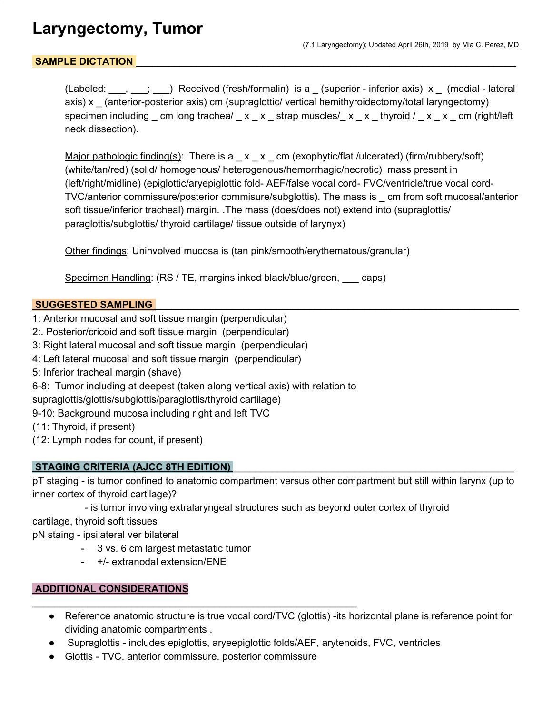# **Laryngectomy, Tumor**

## SAMPLE DICTATION

(Labeled:  $\ldots$ ,  $\ldots$ ; ) Received (fresh/formalin) is a \_ (superior - inferior axis) x \_ (medial - lateral axis) x \_ (anterior-posterior axis) cm (supraglottic/ vertical hemithyroidectomy/total laryngectomy) specimen including cm long trachea/  $\times$  x strap muscles/  $\times$  x thyroid /  $\times$  x cm (right/left neck dissection).

Major pathologic finding(s): There is  $a_x = x_0$  cm (exophytic/flat /ulcerated) (firm/rubbery/soft) (white/tan/red) (solid/ homogenous/ heterogenous/hemorrhagic/necrotic) mass present in (left/right/midline) (epiglottic/aryepiglottic fold- AEF/false vocal cord- FVC/ventricle/true vocal cord-TVC/anterior commissure/posterior commisure/subglottis). The mass is \_ cm from soft mucosal/anterior soft tissue/inferior tracheal) margin. .The mass (does/does not) extend into (supraglottis/ paraglottis/subglottis/ thyroid cartilage/ tissue outside of larynyx)

Other findings: Uninvolved mucosa is (tan pink/smooth/erythematous/granular)

Specimen Handling: (RS / TE, margins inked black/blue/green, saps)

#### **SUGGESTED SAMPLING**

- 1: Anterior mucosal and soft tissue margin (perpendicular)
- 2:. Posterior/cricoid and soft tissue margin (perpendicular)
- 3: Right lateral mucosal and soft tissue margin (perpendicular)
- 4: Left lateral mucosal and soft tissue margin (perpendicular)
- 5: Inferior tracheal margin (shave)
- 6-8: Tumor including at deepest (taken along vertical axis) with relation to
- supraglottis/glottis/subglottis/paraglottis/thyroid cartilage)
- 9-10: Background mucosa including right and left TVC
- (11: Thyroid, if present)
- (12: Lymph nodes for count, if present)

#### **STAGING CRITERIA (AJCC 8TH EDITION)** \_\_\_\_\_\_\_\_\_\_\_\_\_\_\_\_\_\_\_\_\_\_\_\_\_\_\_\_\_\_\_\_\_\_\_\_\_\_\_\_\_\_\_\_\_\_\_\_\_\_\_

pT staging - is tumor confined to anatomic compartment versus other compartment but still within larynx (up to inner cortex of thyroid cartilage)?

- is tumor involving extralaryngeal structures such as beyond outer cortex of thyroid

cartilage, thyroid soft tissues

pN staing - ipsilateral ver bilateral

- 3 vs. 6 cm largest metastatic tumor
- +/- extranodal extension/ENE

## **ADDITIONAL CONSIDERATIONS**

- Reference anatomic structure is true vocal cord/TVC (glottis) -its horizontal plane is reference point for dividing anatomic compartments .
- Supraglottis includes epiglottis, aryeepiglottic folds/AEF, arytenoids, FVC, ventricles
- Glottis TVC, anterior commissure, posterior commissure

\_\_\_\_\_\_\_\_\_\_\_\_\_\_\_\_\_\_\_\_\_\_\_\_\_\_\_\_\_\_\_\_\_\_\_\_\_\_\_\_\_\_\_\_\_\_\_\_\_\_\_\_\_\_\_\_\_\_\_